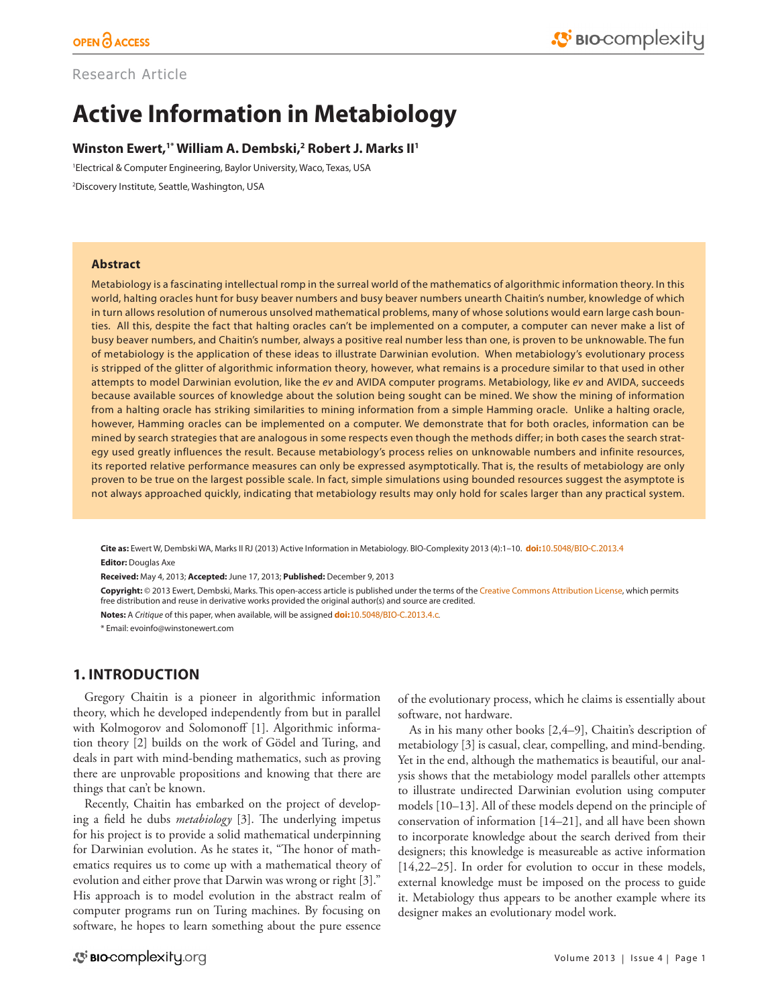# Research Article

# **Active Information in Metabiology**

## **Winston Ewert,1\* William A. Dembski,2 Robert J. Marks II1**

1 Electrical & Computer Engineering, Baylor University, Waco, Texas, USA

2 Discovery Institute, Seattle, Washington, USA

#### **Abstract**

Metabiology is a fascinating intellectual romp in the surreal world of the mathematics of algorithmic information theory. In this world, halting oracles hunt for busy beaver numbers and busy beaver numbers unearth Chaitin's number, knowledge of which in turn allows resolution of numerous unsolved mathematical problems, many of whose solutions would earn large cash bounties. All this, despite the fact that halting oracles can't be implemented on a computer, a computer can never make a list of busy beaver numbers, and Chaitin's number, always a positive real number less than one, is proven to be unknowable. The fun of metabiology is the application of these ideas to illustrate Darwinian evolution. When metabiology's evolutionary process is stripped of the glitter of algorithmic information theory, however, what remains is a procedure similar to that used in other attempts to model Darwinian evolution, like the *ev* and AVIDA computer programs. Metabiology, like *ev* and AVIDA, succeeds because available sources of knowledge about the solution being sought can be mined. We show the mining of information from a halting oracle has striking similarities to mining information from a simple Hamming oracle. Unlike a halting oracle, however, Hamming oracles can be implemented on a computer. We demonstrate that for both oracles, information can be mined by search strategies that are analogous in some respects even though the methods differ; in both cases the search strategy used greatly influences the result. Because metabiology's process relies on unknowable numbers and infinite resources, its reported relative performance measures can only be expressed asymptotically. That is, the results of metabiology are only proven to be true on the largest possible scale. In fact, simple simulations using bounded resources suggest the asymptote is not always approached quickly, indicating that metabiology results may only hold for scales larger than any practical system.

**Cite as:** Ewert W, Dembski WA, Marks II RJ (2013) Active Information in Metabiology. BIO-Complexity 2013 (4):1–10. **doi:**[10.5048/BIO-C.2013.4](http://dx.doi.org/10.5048/BIO-C.2013.4) **Editor:** Douglas Axe

**Received:** May 4, 2013; **Accepted:** June 17, 2013; **Published:** December 9, 2013

**Copyright:** © 2013 Ewert, Dembski, Marks. This open-access article is published under the terms of the [Creative Commons Attribution License,](http://creativecommons.org/licenses/by/3.0/) which permits free distribution and reuse in derivative works provided the original author(s) and source are credited.

**Notes:** A *Critique* of this paper, when available, will be assigned **doi:**[10.5048/BIO-C.2013.4.c](http://dx.doi.org/10.5048/BIO-C.2013.4.c).

\* Email: [evoinfo@winstonewert.com](mailto:evoinfo@winstonewert.com)

## **1. INTRODUCTION**

Gregory Chaitin is a pioneer in algorithmic information theory, which he developed independently from but in parallel with Kolmogorov and Solomonoff [1]. Algorithmic information theory [2] builds on the work of Gödel and Turing, and deals in part with mind-bending mathematics, such as proving there are unprovable propositions and knowing that there are things that can't be known.

Recently, Chaitin has embarked on the project of developing a field he dubs *metabiology* [3]. The underlying impetus for his project is to provide a solid mathematical underpinning for Darwinian evolution. As he states it, "The honor of mathematics requires us to come up with a mathematical theory of evolution and either prove that Darwin was wrong or right [3]." His approach is to model evolution in the abstract realm of computer programs run on Turing machines. By focusing on software, he hopes to learn something about the pure essence

of the evolutionary process, which he claims is essentially about software, not hardware.

As in his many other books [2,4–9], Chaitin's description of metabiology [3] is casual, clear, compelling, and mind-bending. Yet in the end, although the mathematics is beautiful, our analysis shows that the metabiology model parallels other attempts to illustrate undirected Darwinian evolution using computer models [10–13]. All of these models depend on the principle of conservation of information [14–21], and all have been shown to incorporate knowledge about the search derived from their designers; this knowledge is measureable as active information [14,22–25]. In order for evolution to occur in these models, external knowledge must be imposed on the process to guide it. Metabiology thus appears to be another example where its designer makes an evolutionary model work.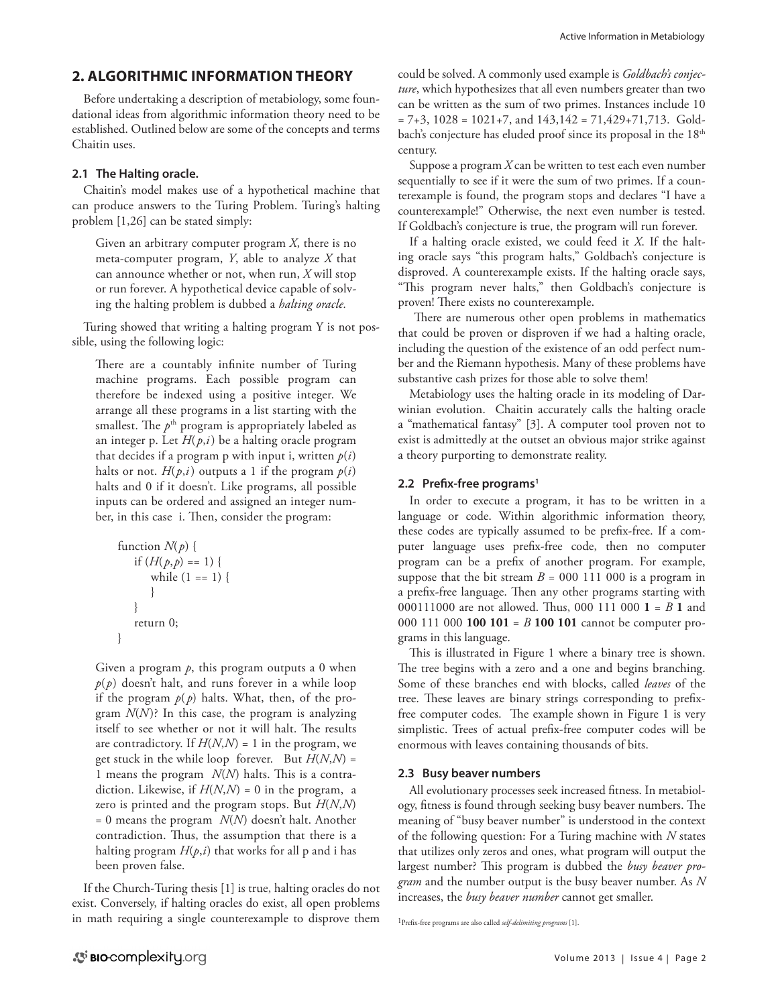# **2. ALGORITHMIC INFORMATION THEORY**

Before undertaking a description of metabiology, some foundational ideas from algorithmic information theory need to be established. Outlined below are some of the concepts and terms Chaitin uses.

## **2.1 The Halting oracle.**

Chaitin's model makes use of a hypothetical machine that can produce answers to the Turing Problem. Turing's halting problem [1,26] can be stated simply:

Given an arbitrary computer program *X*, there is no meta-computer program, *Y*, able to analyze *X* that can announce whether or not, when run, *X* will stop or run forever. A hypothetical device capable of solving the halting problem is dubbed a *halting oracle.* 

Turing showed that writing a halting program Y is not possible, using the following logic:

There are a countably infinite number of Turing machine programs. Each possible program can therefore be indexed using a positive integer. We arrange all these programs in a list starting with the smallest. The  $p<sup>th</sup>$  program is appropriately labeled as an integer p. Let  $H(p,i)$  be a halting oracle program that decides if a program p with input i, written  $p(i)$ halts or not.  $H(p,i)$  outputs a 1 if the program  $p(i)$ halts and 0 if it doesn't. Like programs, all possible inputs can be ordered and assigned an integer number, in this case i. Then, consider the program:

```
function N(p) {
   if (H(p,p) == 1) {
      while (1 == 1) {
 } 
    } 
    return 0; 
}
```
Given a program  $p$ , this program outputs a 0 when  $p(p)$  doesn't halt, and runs forever in a while loop if the program  $p(p)$  halts. What, then, of the program *N*(*N*)? In this case, the program is analyzing itself to see whether or not it will halt. The results are contradictory. If  $H(N,N) = 1$  in the program, we get stuck in the while loop forever. But  $H(N,N) =$ 1 means the program *N*(*N*) halts. This is a contradiction. Likewise, if  $H(N,N) = 0$  in the program, a zero is printed and the program stops. But *H*(*N*,*N*) = 0 means the program *N*(*N*) doesn't halt. Another contradiction. Thus, the assumption that there is a halting program *H*(*p*,*i*) that works for all p and i has been proven false.

If the Church-Turing thesis [1] is true, halting oracles do not exist. Conversely, if halting oracles do exist, all open problems in math requiring a single counterexample to disprove them could be solved. A commonly used example is *Goldbach's conjecture*, which hypothesizes that all even numbers greater than two can be written as the sum of two primes. Instances include 10  $= 7+3$ ,  $1028 = 1021+7$ , and  $143,142 = 71,429+71,713$ . Goldbach's conjecture has eluded proof since its proposal in the 18<sup>th</sup> century.

Suppose a program *X* can be written to test each even number sequentially to see if it were the sum of two primes. If a counterexample is found, the program stops and declares "I have a counterexample!" Otherwise, the next even number is tested. If Goldbach's conjecture is true, the program will run forever.

If a halting oracle existed, we could feed it *X*. If the halting oracle says "this program halts," Goldbach's conjecture is disproved. A counterexample exists. If the halting oracle says, "This program never halts," then Goldbach's conjecture is proven! There exists no counterexample.

 There are numerous other open problems in mathematics that could be proven or disproven if we had a halting oracle, including the question of the existence of an odd perfect number and the Riemann hypothesis. Many of these problems have substantive cash prizes for those able to solve them!

Metabiology uses the halting oracle in its modeling of Darwinian evolution. Chaitin accurately calls the halting oracle a "mathematical fantasy" [3]. A computer tool proven not to exist is admittedly at the outset an obvious major strike against a theory purporting to demonstrate reality.

## 2.2 Prefix-free programs<sup>1</sup>

In order to execute a program, it has to be written in a language or code. Within algorithmic information theory, these codes are typically assumed to be prefix-free. If a computer language uses prefix-free code, then no computer program can be a prefix of another program. For example, suppose that the bit stream  $B = 000 111 000$  is a program in a prefix-free language. Then any other programs starting with 000111000 are not allowed. Thus, 000 111 000 **1** = *B* **1** and 000 111 000 **100 101** = *B* **100 101** cannot be computer programs in this language.

This is illustrated in Figure 1 where a binary tree is shown. The tree begins with a zero and a one and begins branching. Some of these branches end with blocks, called *leaves* of the tree. These leaves are binary strings corresponding to prefixfree computer codes. The example shown in Figure 1 is very simplistic. Trees of actual prefix-free computer codes will be enormous with leaves containing thousands of bits.

## **2.3 Busy beaver numbers**

All evolutionary processes seek increased fitness. In metabiology, fitness is found through seeking busy beaver numbers. The meaning of "busy beaver number" is understood in the context of the following question: For a Turing machine with *N* states that utilizes only zeros and ones, what program will output the largest number? This program is dubbed the *busy beaver program* and the number output is the busy beaver number. As *N* increases, the *busy beaver number* cannot get smaller.

<sup>1</sup>Prefix-free programs are also called *self-delimiting programs* [1].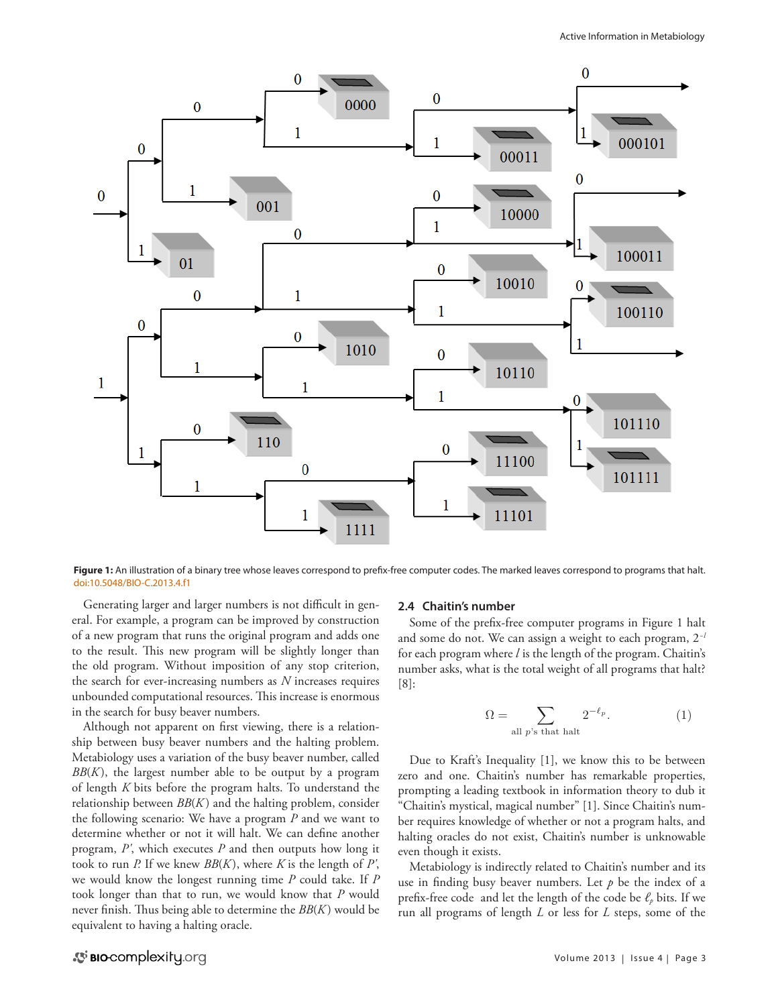

Figure 1: An illustration of a binary tree whose leaves correspond to prefix-free computer codes. The marked leaves correspond to programs that halt. [doi:10.5048/BIO-C.2013.4.f1](http://dx.doi.org/10.5048/BIO-C.2013.4.f1)

Generating larger and larger numbers is not difficult in general. For example, a program can be improved by construction of a new program that runs the original program and adds one to the result. This new program will be slightly longer than the old program. Without imposition of any stop criterion, the search for ever-increasing numbers as *N* increases requires unbounded computational resources. This increase is enormous in the search for busy beaver numbers.

Although not apparent on first viewing, there is a relationship between busy beaver numbers and the halting problem. Metabiology uses a variation of the busy beaver number, called *BB*(*K* ), the largest number able to be output by a program of length *K* bits before the program halts. To understand the relationship between *BB*(*K* ) and the halting problem, consider the following scenario: We have a program *P* and we want to determine whether or not it will halt. We can define another program, *P'*, which executes *P* and then outputs how long it took to run *P.* If we knew *BB*(*K* ), where *K* is the length of *P'*, we would know the longest running time *P* could take. If *P* took longer than that to run, we would know that *P* would never finish. Thus being able to determine the *BB*(*K* ) would be equivalent to having a halting oracle.

## **2.4 Chaitin's number**

Some of the prefix-free computer programs in Figure 1 halt and some do not. We can assign a weight to each program, 2*−l*  for each program where *l* is the length of the program. Chaitin's number asks, what is the total weight of all programs that halt? [8]:

$$
\Omega = \sum_{\text{all } p \text{'s that halt}} 2^{-\ell_p}.
$$
 (1)

Due to Kraft's Inequality [1], we know this to be between zero and one. Chaitin's number has remarkable properties, prompting a leading textbook in information theory to dub it "Chaitin's mystical, magical number" [1]. Since Chaitin's number requires knowledge of whether or not a program halts, and halting oracles do not exist, Chaitin's number is unknowable even though it exists.

Metabiology is indirectly related to Chaitin's number and its use in finding busy beaver numbers. Let  $p$  be the index of a prefix-free code and let the length of the code be  $\ell_p$  bits. If we run all programs of length *L* or less for *L* steps, some of the

# S BIO-complexity.org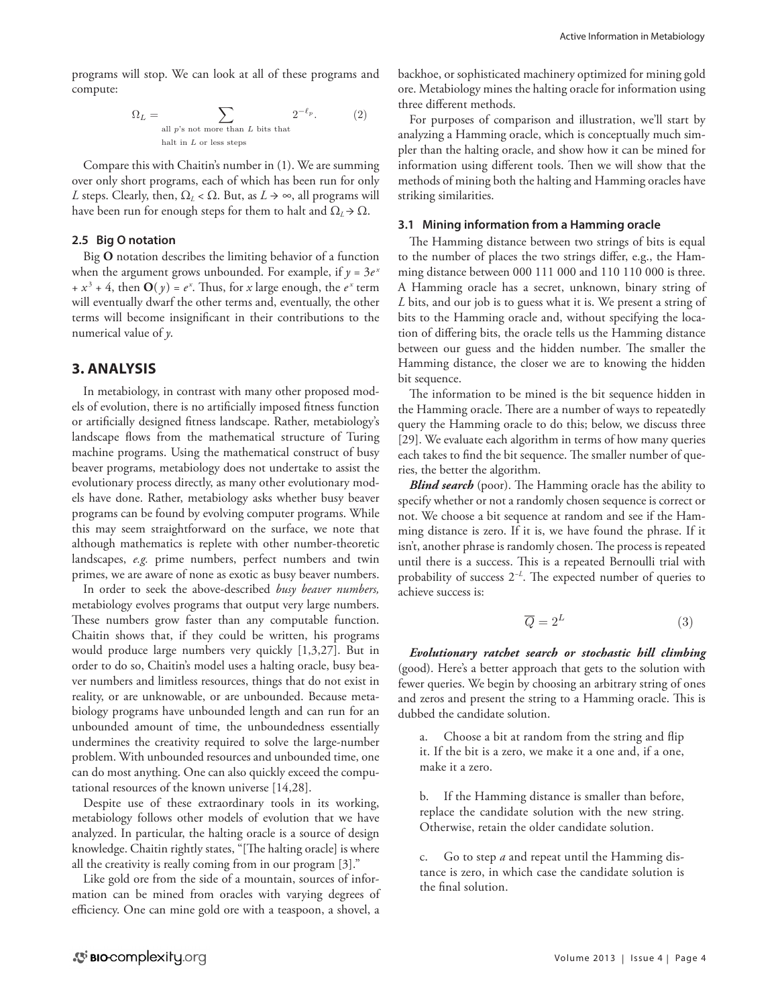programs will stop. We can look at all of these programs and compute:

$$
\Omega_L = \sum_{\text{all } p \text{'s not more than } L \text{ bits that}} 2^{-\ell_p}.
$$
 (2)

Compare this with Chaitin's number in (1). We are summing over only short programs, each of which has been run for only *L* steps. Clearly, then,  $\Omega_L < \Omega$ . But, as  $L \rightarrow \infty$ , all programs will have been run for enough steps for them to halt and  $\Omega_L \rightarrow \Omega$ .

## **2.5 Big O notation**

Big **O** notation describes the limiting behavior of a function when the argument grows unbounded. For example, if  $y = 3e^x$  $+x^3 + 4$ , then  $\mathbf{O}(y) = e^x$ . Thus, for *x* large enough, the  $e^x$  term will eventually dwarf the other terms and, eventually, the other terms will become insignificant in their contributions to the numerical value of *y*.

## **3. ANALYSIS**

In metabiology, in contrast with many other proposed models of evolution, there is no artificially imposed fitness function or artificially designed fitness landscape. Rather, metabiology's landscape flows from the mathematical structure of Turing machine programs. Using the mathematical construct of busy beaver programs, metabiology does not undertake to assist the evolutionary process directly, as many other evolutionary models have done. Rather, metabiology asks whether busy beaver programs can be found by evolving computer programs. While this may seem straightforward on the surface, we note that although mathematics is replete with other number-theoretic landscapes, *e.g.* prime numbers, perfect numbers and twin primes, we are aware of none as exotic as busy beaver numbers.

In order to seek the above-described *busy beaver numbers,*  metabiology evolves programs that output very large numbers. These numbers grow faster than any computable function. Chaitin shows that, if they could be written, his programs would produce large numbers very quickly [1,3,27]. But in order to do so, Chaitin's model uses a halting oracle, busy beaver numbers and limitless resources, things that do not exist in reality, or are unknowable, or are unbounded. Because metabiology programs have unbounded length and can run for an unbounded amount of time, the unboundedness essentially undermines the creativity required to solve the large-number problem. With unbounded resources and unbounded time, one can do most anything. One can also quickly exceed the computational resources of the known universe [14,28].

Despite use of these extraordinary tools in its working, metabiology follows other models of evolution that we have analyzed. In particular, the halting oracle is a source of design knowledge. Chaitin rightly states, "[The halting oracle] is where all the creativity is really coming from in our program [3]."

Like gold ore from the side of a mountain, sources of information can be mined from oracles with varying degrees of efficiency. One can mine gold ore with a teaspoon, a shovel, a backhoe, or sophisticated machinery optimized for mining gold ore. Metabiology mines the halting oracle for information using three different methods.

For purposes of comparison and illustration, we'll start by analyzing a Hamming oracle, which is conceptually much simpler than the halting oracle, and show how it can be mined for information using different tools. Then we will show that the methods of mining both the halting and Hamming oracles have striking similarities.

## **3.1 Mining information from a Hamming oracle**

The Hamming distance between two strings of bits is equal to the number of places the two strings differ, e.g., the Hamming distance between 000 111 000 and 110 110 000 is three. A Hamming oracle has a secret, unknown, binary string of *L* bits, and our job is to guess what it is. We present a string of bits to the Hamming oracle and, without specifying the location of differing bits, the oracle tells us the Hamming distance between our guess and the hidden number. The smaller the Hamming distance, the closer we are to knowing the hidden bit sequence.

The information to be mined is the bit sequence hidden in the Hamming oracle. There are a number of ways to repeatedly query the Hamming oracle to do this; below, we discuss three [29]. We evaluate each algorithm in terms of how many queries each takes to find the bit sequence. The smaller number of queries, the better the algorithm.

*Blind search* (poor). The Hamming oracle has the ability to specify whether or not a randomly chosen sequence is correct or not. We choose a bit sequence at random and see if the Hamming distance is zero. If it is, we have found the phrase. If it isn't, another phrase is randomly chosen. The process is repeated until there is a success. This is a repeated Bernoulli trial with probability of success 2*−L*. The expected number of queries to achieve success is:

$$
\overline{Q} = 2^L \tag{3}
$$

*Evolutionary ratchet search or stochastic hill climbing* (good). Here's a better approach that gets to the solution with fewer queries. We begin by choosing an arbitrary string of ones and zeros and present the string to a Hamming oracle. This is dubbed the candidate solution.

a. Choose a bit at random from the string and flip it. If the bit is a zero, we make it a one and, if a one, make it a zero.

b. If the Hamming distance is smaller than before, replace the candidate solution with the new string. Otherwise, retain the older candidate solution.

c. Go to step *a* and repeat until the Hamming distance is zero, in which case the candidate solution is the final solution.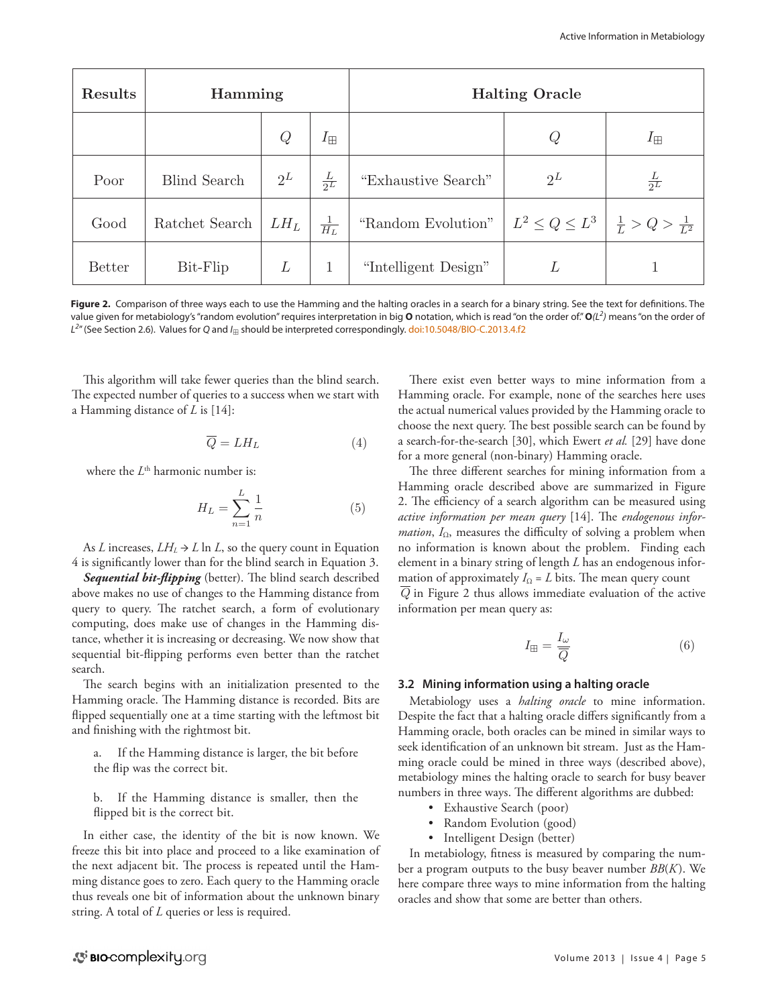| <b>Results</b> | Hamming             |        |                 | <b>Halting Oracle</b> |                                                                 |                |
|----------------|---------------------|--------|-----------------|-----------------------|-----------------------------------------------------------------|----------------|
|                |                     | Q      | $I_{\boxplus}$  |                       | Q                                                               | $I_{\boxplus}$ |
| Poor           | <b>Blind Search</b> | $2^L$  | $rac{L}{2^L}$   | "Exhaustive Search"   | $2^L$                                                           | $rac{L}{2^L}$  |
| Good           | Ratchet Search      | $LH_L$ | $\frac{1}{H_L}$ | "Random Evolution"    | $\mid L^2 \leq Q \leq L^3 \mid \frac{1}{L} > Q > \frac{1}{L^2}$ |                |
| <b>Better</b>  | Bit-Flip            | L      | 1               | "Intelligent Design"  | L                                                               |                |

Figure 2. Comparison of three ways each to use the Hamming and the halting oracles in a search for a binary string. See the text for definitions. The value given for metabiology's "random evolution" requires interpretation in big **O** notation, which is read "on the order of." **O***(L2 )* means "on the order of *L2* " (See Section 2.6). Values for *Q* and *I*� should be interpreted correspondingly. [doi:10.5048/BIO-C.2013.4.f2](http://dx.doi.org/10.5048/BIO-C.2013.4.f2)

This algorithm will take fewer queries than the blind search. The expected number of queries to a success when we start with a Hamming distance of *L* is [14]:

$$
\overline{Q} = L H_L \tag{4}
$$

where the *L*<sup>th</sup> harmonic number is:

$$
H_L = \sum_{n=1}^{L} \frac{1}{n} \tag{5}
$$

As *L* increases,  $LH_L \rightarrow L \ln L$ , so the query count in Equation 4 is significantly lower than for the blind search in Equation 3.

*Sequential bit-flipping* (better). The blind search described above makes no use of changes to the Hamming distance from query to query. The ratchet search, a form of evolutionary computing, does make use of changes in the Hamming distance, whether it is increasing or decreasing. We now show that sequential bit-flipping performs even better than the ratchet search.

The search begins with an initialization presented to the Hamming oracle. The Hamming distance is recorded. Bits are flipped sequentially one at a time starting with the leftmost bit and finishing with the rightmost bit.

a. If the Hamming distance is larger, the bit before the flip was the correct bit.

b. If the Hamming distance is smaller, then the flipped bit is the correct bit.

In either case, the identity of the bit is now known. We freeze this bit into place and proceed to a like examination of the next adjacent bit. The process is repeated until the Hamming distance goes to zero. Each query to the Hamming oracle thus reveals one bit of information about the unknown binary string. A total of *L* queries or less is required.

There exist even better ways to mine information from a Hamming oracle. For example, none of the searches here uses the actual numerical values provided by the Hamming oracle to choose the next query. The best possible search can be found by  $\overline{Q} = L H_L$  (4) a search-for-the-search [30], which Ewert *et al.* [29] have done for a more general (non-binary) Hamming oracle.

The three different searches for mining information from a Hamming oracle described above are summarized in Figure 2. The efficiency of a search algorithm can be measured using *active information per mean query* [14]. The *endogenous infor-*<sup>n</sup> (5) *mation*, *I*Ω, measures the difficulty of solving a problem when no information is known about the problem. Finding each element in a binary string of length *L* has an endogenous infored mation of approximately  $I_{\Omega} = L$  bits. The mean query count mation of approximately  $I_{\Omega} = L$  bits. The mean query count<br> $\overline{Q}$  in Figure 2 thus allows immediate evaluation of the active information per mean query as:

$$
I_{\mathbb{H}} = \frac{I_{\omega}}{\overline{Q}}\tag{6}
$$

## **3.2 Mining information using a halting oracle**

Metabiology uses a *halting oracle* to mine information. Despite the fact that a halting oracle differs significantly from a Hamming oracle, both oracles can be mined in similar ways to seek identification of an unknown bit stream. Just as the Hamming oracle could be mined in three ways (described above), metabiology mines the halting oracle to search for busy beaver numbers in three ways. The different algorithms are dubbed:

- Exhaustive Search (poor)
- • Random Evolution (good)
- • Intelligent Design (better)

In metabiology, fitness is measured by comparing the number a program outputs to the busy beaver number *BB*(*K* ). We here compare three ways to mine information from the halting oracles and show that some are better than others.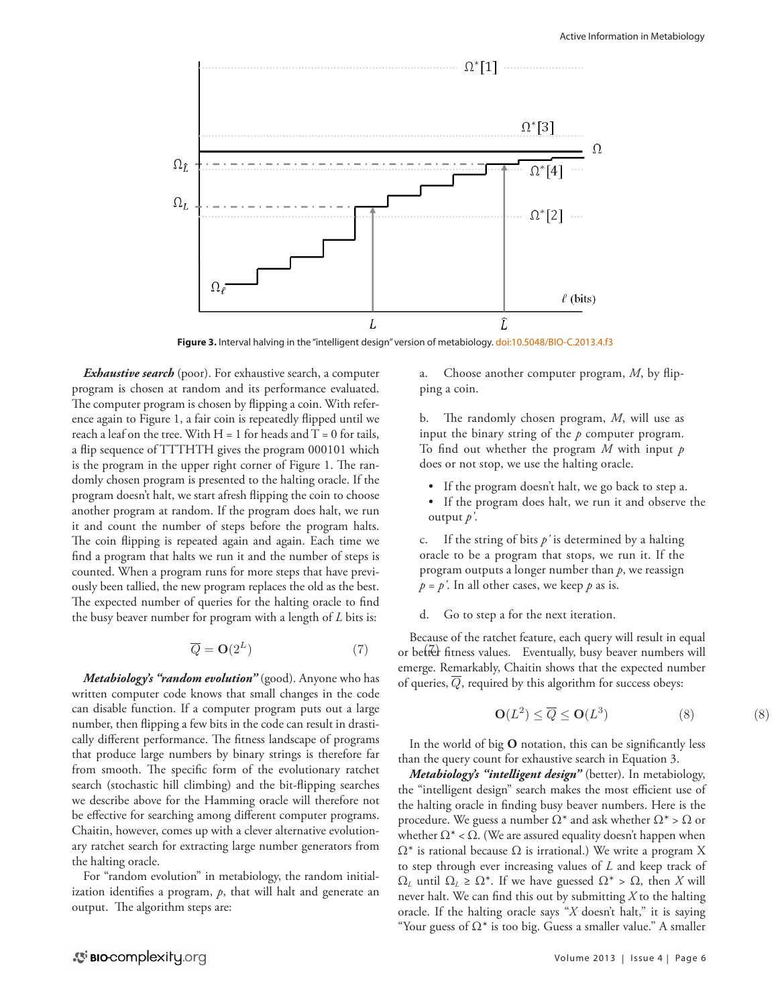

Figure 3. Interval halving in the "intelligent design" version of metabiology. [doi:10.5048/BIO-C.2013.4.f3](http://dx.doi.org/10.5048/BIO-C.2013.4.f3)

*Exhaustive search* (poor). For exhaustive search, a computer program is chosen at random and its performance evaluated. The computer program is chosen by flipping a coin. With reference again to Figure 1, a fair coin is repeatedly flipped until we reach a leaf on the tree. With  $H = 1$  for heads and  $T = 0$  for tails, a flip sequence of TTTHTH gives the program 000101 which is the program in the upper right corner of Figure 1. The randomly chosen program is presented to the halting oracle. If the program doesn't halt, we start afresh flipping the coin to choose another program at random. If the program does halt, we run it and count the number of steps before the program halts. The coin flipping is repeated again and again. Each time we find a program that halts we run it and the number of steps is counted. When a program runs for more steps that have previously been tallied, the new program replaces the old as the best. The expected number of queries for the halting oracle to find the busy beaver number for program with a length of *L* bits is:

$$
\overline{Q} = \mathbf{O}(2^L) \tag{7}
$$

*Metabiology's "random evolution"* (good). Anyone who has written computer code knows that small changes in the code can disable function. If a computer program puts out a large number, then flipping a few bits in the code can result in drastically different performance. The fitness landscape of programs that produce large numbers by binary strings is therefore far from smooth. The specific form of the evolutionary ratchet search (stochastic hill climbing) and the bit-flipping searches we describe above for the Hamming oracle will therefore not be effective for searching among different computer programs. Chaitin, however, comes up with a clever alternative evolutionary ratchet search for extracting large number generators from the halting oracle.

For "random evolution" in metabiology, the random initialization identifies a program, *p*, that will halt and generate an output. The algorithm steps are:

a. Choose another computer program, *M*, by flipping a coin.

b. The randomly chosen program, *M*, will use as input the binary string of the *p* computer program. To find out whether the program *M* with input *p* does or not stop, we use the halting oracle.

- If the program doesn't halt, we go back to step a.
- • If the program does halt, we run it and observe the output *p'*.

c. If the string of bits *p'* is determined by a halting oracle to be a program that stops, we run it. If the program outputs a longer number than *p*, we reassign  $p = p'$ . In all other cases, we keep  $p$  as is.

#### d. Go to step a for the next iteration.

Because of the ratchet feature, each query will result in equal  $\overline{Q} = \mathbf{O}(2^L)$  (7) or better fitness values. Eventually, busy beaver numbers will emerge. Remarkably, Chaitin shows that the expected number emerge. Nemarkabiy, Chaitin shows that the expected nun<br>of queries,  $\overline{Q}$ , required by this algorithm for success obeys:

$$
\mathbf{O}(L^2) \le \overline{Q} \le \mathbf{O}(L^3) \tag{8}
$$

In the world of big **O** notation, this can be significantly less than the query count for exhaustive search in Equation 3.

*Metabiology's "intelligent design"* (better). In metabiology, the "intelligent design" search makes the most efficient use of the halting oracle in finding busy beaver numbers. Here is the procedure. We guess a number  $Ω^*$  and ask whether  $Ω^*$  >  $Ω$  or whether  $\Omega^*$  <  $\Omega$ . (We are assured equality doesn't happen when  $\Omega^*$  is rational because  $\Omega$  is irrational.) We write a program X to step through ever increasing values of *L* and keep track of  $Ω<sub>L</sub>$  until  $Ω<sub>L</sub> ≥ Ω<sup>*</sup>$ . If we have guessed  $Ω<sup>*</sup> > Ω$ , then *X* will never halt. We can find this out by submitting *X* to the halting oracle. If the halting oracle says "*X* doesn't halt," it is saying "Your guess of  $\Omega^*$  is too big. Guess a smaller value." A smaller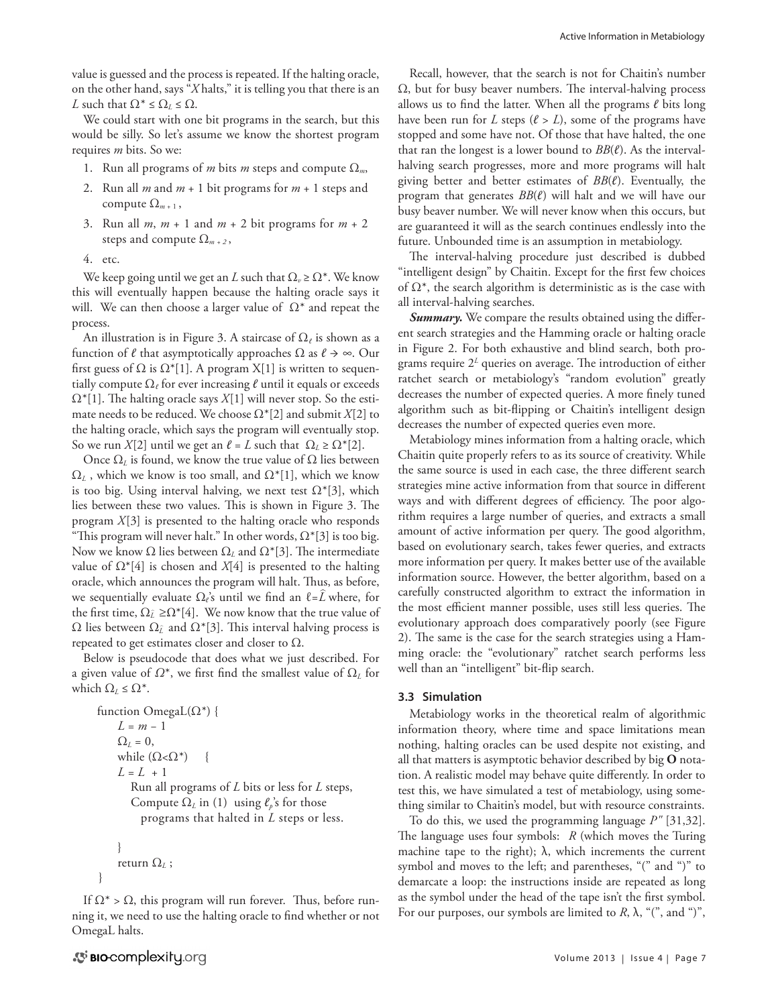value is guessed and the process is repeated. If the halting oracle, on the other hand, says "*X* halts," it is telling you that there is an *L* such that  $\Omega^* \leq \Omega_L \leq \Omega$ .

We could start with one bit programs in the search, but this would be silly. So let's assume we know the shortest program requires *m* bits. So we:

- 1. Run all programs of *m* bits *m* steps and compute Ω*m*,
- 2. Run all *m* and *m* + 1 bit programs for *m* + 1 steps and compute  $\Omega_{m+1}$ ,
- 3. Run all *m*, *m* + 1 and *m* + 2 bit programs for *m* + 2 steps and compute  $\Omega_{m+2}$ ,
- 4. etc.

We keep going until we get an *L* such that  $\Omega_{\nu} \ge \Omega^*$ . We know this will eventually happen because the halting oracle says it will. We can then choose a larger value of  $\Omega^*$  and repeat the process.

An illustration is in Figure 3. A staircase of Ω*ℓ* is shown as a function of  $\ell$  that asymptotically approaches  $\Omega$  as  $\ell \to \infty$ . Our first guess of  $\Omega$  is  $\Omega^*[1]$ . A program X[1] is written to sequentially compute Ω*ℓ* for ever increasing *ℓ* until it equals or exceeds Ω\*[1]. The halting oracle says *X*[1] will never stop. So the estimate needs to be reduced. We choose Ω\*[2] and submit *X*[2] to the halting oracle, which says the program will eventually stop. So we run *X*[2] until we get an  $\ell = L$  such that  $\Omega_L \ge \Omega^*[2]$ .

Once  $Ω<sub>L</sub>$  is found, we know the true value of  $Ω$  lies between  $\Omega_L$ , which we know is too small, and  $\Omega^*[1]$ , which we know is too big. Using interval halving, we next test  $\Omega^*[3]$ , which lies between these two values. This is shown in Figure 3. The program *X*[3] is presented to the halting oracle who responds "This program will never halt." In other words,  $\Omega^*[3]$  is too big. Now we know  $Ω$  lies between  $Ω$ <sub>L</sub> and  $Ω* [3]$ . The intermediate value of Ω\*[4] is chosen and *X*[4] is presented to the halting oracle, which announces the program will halt. Thus, as before, we sequentially evaluate Ω*ℓ*'s until we find an ℓ=*L* ^ where, for the first time,  $\Omega_{\tilde{L}} \ge \Omega^*[4]$ . We now know that the true value of  $\Omega$  lies between  $\Omega_{\hat{L}}$  and  $\Omega^*[3]$ . This interval halving process is repeated to get estimates closer and closer to  $\Omega$ .

Below is pseudocode that does what we just described. For a given value of *Ω*\*, we first find the smallest value of Ω*L* for which  $\Omega_I \leq \Omega^*$ .

```
function OmegaL(\Omega^*) {
    L = m − 1 
    \Omega_L = 0,
    while (\Omega < \Omega^*) {
    L = L + 1 Run all programs of L bits or less for L steps, 
        Compute \Omega_L in (1) using \ell_p's for those
           programs that halted in L steps or less.
```

```
}
return \Omega_L;
```
}

If  $\Omega^*$  >  $\Omega$ , this program will run forever. Thus, before running it, we need to use the halting oracle to find whether or not OmegaL halts.

Recall, however, that the search is not for Chaitin's number Ω, but for busy beaver numbers. The interval-halving process allows us to find the latter. When all the programs *ℓ* bits long have been run for *L* steps ( $\ell > L$ ), some of the programs have stopped and some have not. Of those that have halted, the one that ran the longest is a lower bound to *BB*(*ℓ*). As the intervalhalving search progresses, more and more programs will halt giving better and better estimates of *BB*(*ℓ*). Eventually, the program that generates *BB*(*ℓ*) will halt and we will have our busy beaver number. We will never know when this occurs, but are guaranteed it will as the search continues endlessly into the future. Unbounded time is an assumption in metabiology.

The interval-halving procedure just described is dubbed "intelligent design" by Chaitin. Except for the first few choices of  $\Omega^*$ , the search algorithm is deterministic as is the case with all interval-halving searches.

*Summary.* We compare the results obtained using the different search strategies and the Hamming oracle or halting oracle in Figure 2. For both exhaustive and blind search, both programs require 2*<sup>L</sup>* queries on average. The introduction of either ratchet search or metabiology's "random evolution" greatly decreases the number of expected queries. A more finely tuned algorithm such as bit-flipping or Chaitin's intelligent design decreases the number of expected queries even more.

Metabiology mines information from a halting oracle, which Chaitin quite properly refers to as its source of creativity. While the same source is used in each case, the three different search strategies mine active information from that source in different ways and with different degrees of efficiency. The poor algorithm requires a large number of queries, and extracts a small amount of active information per query. The good algorithm, based on evolutionary search, takes fewer queries, and extracts more information per query. It makes better use of the available information source. However, the better algorithm, based on a carefully constructed algorithm to extract the information in the most efficient manner possible, uses still less queries. The evolutionary approach does comparatively poorly (see Figure 2). The same is the case for the search strategies using a Hamming oracle: the "evolutionary" ratchet search performs less well than an "intelligent" bit-flip search.

## **3.3 Simulation**

Metabiology works in the theoretical realm of algorithmic information theory, where time and space limitations mean nothing, halting oracles can be used despite not existing, and all that matters is asymptotic behavior described by big **O** notation. A realistic model may behave quite differently. In order to test this, we have simulated a test of metabiology, using something similar to Chaitin's model, but with resource constraints.

To do this, we used the programming language *P"* [31,32]. The language uses four symbols: *R* (which moves the Turing machine tape to the right);  $\lambda$ , which increments the current symbol and moves to the left; and parentheses, "(" and ")" to demarcate a loop: the instructions inside are repeated as long as the symbol under the head of the tape isn't the first symbol. For our purposes, our symbols are limited to  $R$ ,  $\lambda$ , "(", and ")",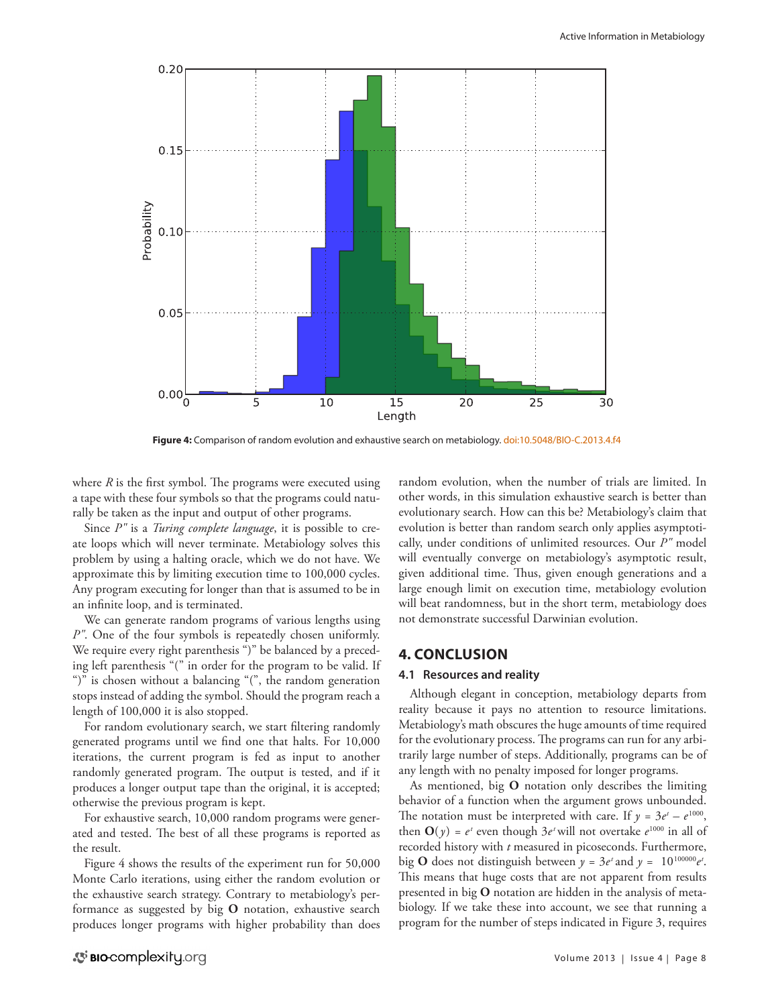

**Figure 4:** Comparison of random evolution and exhaustive search on metabiology. [doi:10.5048/BIO-C.2013.4.f4](http://dx.doi.org/10.5048/BIO-C.2013.4.f4)

where *R* is the first symbol. The programs were executed using a tape with these four symbols so that the programs could naturally be taken as the input and output of other programs.

Since *P"* is a *Turing complete language*, it is possible to create loops which will never terminate. Metabiology solves this problem by using a halting oracle, which we do not have. We approximate this by limiting execution time to 100,000 cycles. Any program executing for longer than that is assumed to be in an infinite loop, and is terminated.

We can generate random programs of various lengths using *P"*. One of the four symbols is repeatedly chosen uniformly. We require every right parenthesis ")" be balanced by a preceding left parenthesis "(" in order for the program to be valid. If ")" is chosen without a balancing "(", the random generation stops instead of adding the symbol. Should the program reach a length of 100,000 it is also stopped.

For random evolutionary search, we start filtering randomly generated programs until we find one that halts. For 10,000 iterations, the current program is fed as input to another randomly generated program. The output is tested, and if it produces a longer output tape than the original, it is accepted; otherwise the previous program is kept.

For exhaustive search, 10,000 random programs were generated and tested. The best of all these programs is reported as the result.

Figure 4 shows the results of the experiment run for 50,000 Monte Carlo iterations, using either the random evolution or the exhaustive search strategy. Contrary to metabiology's performance as suggested by big **O** notation, exhaustive search produces longer programs with higher probability than does

random evolution, when the number of trials are limited. In other words, in this simulation exhaustive search is better than evolutionary search. How can this be? Metabiology's claim that evolution is better than random search only applies asymptotically, under conditions of unlimited resources. Our *P"* model will eventually converge on metabiology's asymptotic result, given additional time. Thus, given enough generations and a large enough limit on execution time, metabiology evolution will beat randomness, but in the short term, metabiology does not demonstrate successful Darwinian evolution.

## **4. CONCLUSION**

#### **4.1 Resources and reality**

Although elegant in conception, metabiology departs from reality because it pays no attention to resource limitations. Metabiology's math obscures the huge amounts of time required for the evolutionary process. The programs can run for any arbitrarily large number of steps. Additionally, programs can be of any length with no penalty imposed for longer programs.

As mentioned, big **O** notation only describes the limiting behavior of a function when the argument grows unbounded. The notation must be interpreted with care. If  $y = 3e^t - e^{1000}$ , then  $\mathbf{O}(y) = e^t$  even though  $3e^t$  will not overtake  $e^{1000}$  in all of recorded history with *t* measured in picoseconds. Furthermore, big **O** does not distinguish between  $y = 3e^t$  and  $y = 10^{100000}e^t$ . This means that huge costs that are not apparent from results presented in big **O** notation are hidden in the analysis of metabiology. If we take these into account, we see that running a program for the number of steps indicated in Figure 3, requires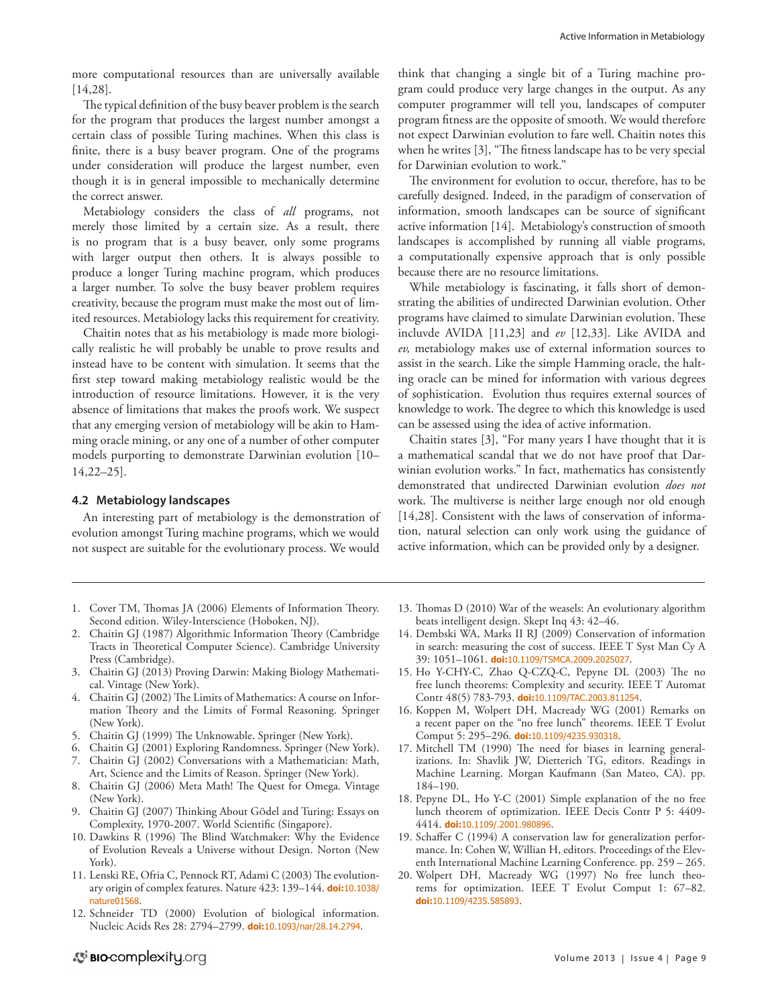more computational resources than are universally available [14,28].

The typical definition of the busy beaver problem is the search for the program that produces the largest number amongst a certain class of possible Turing machines. When this class is finite, there is a busy beaver program. One of the programs under consideration will produce the largest number, even though it is in general impossible to mechanically determine the correct answer.

Metabiology considers the class of *all* programs, not merely those limited by a certain size. As a result, there is no program that is a busy beaver, only some programs with larger output then others. It is always possible to produce a longer Turing machine program, which produces a larger number. To solve the busy beaver problem requires creativity, because the program must make the most out of limited resources. Metabiology lacks this requirement for creativity.

Chaitin notes that as his metabiology is made more biologically realistic he will probably be unable to prove results and instead have to be content with simulation. It seems that the first step toward making metabiology realistic would be the introduction of resource limitations. However, it is the very absence of limitations that makes the proofs work. We suspect that any emerging version of metabiology will be akin to Hamming oracle mining, or any one of a number of other computer models purporting to demonstrate Darwinian evolution [10– 14,22–25].

#### **4.2 Metabiology landscapes**

An interesting part of metabiology is the demonstration of evolution amongst Turing machine programs, which we would not suspect are suitable for the evolutionary process. We would

think that changing a single bit of a Turing machine program could produce very large changes in the output. As any computer programmer will tell you, landscapes of computer program fitness are the opposite of smooth. We would therefore not expect Darwinian evolution to fare well. Chaitin notes this when he writes [3], "The fitness landscape has to be very special for Darwinian evolution to work."

The environment for evolution to occur, therefore, has to be carefully designed. Indeed, in the paradigm of conservation of information, smooth landscapes can be source of significant active information [14]. Metabiology's construction of smooth landscapes is accomplished by running all viable programs, a computationally expensive approach that is only possible because there are no resource limitations.

While metabiology is fascinating, it falls short of demonstrating the abilities of undirected Darwinian evolution. Other programs have claimed to simulate Darwinian evolution. These incluvde AVIDA [11,23] and *ev* [12,33]. Like AVIDA and *ev,* metabiology makes use of external information sources to assist in the search. Like the simple Hamming oracle, the halting oracle can be mined for information with various degrees of sophistication. Evolution thus requires external sources of knowledge to work. The degree to which this knowledge is used can be assessed using the idea of active information.

Chaitin states [3], "For many years I have thought that it is a mathematical scandal that we do not have proof that Darwinian evolution works." In fact, mathematics has consistently demonstrated that undirected Darwinian evolution *does not*  work. The multiverse is neither large enough nor old enough [14,28]. Consistent with the laws of conservation of information, natural selection can only work using the guidance of active information, which can be provided only by a designer.

- 1. Cover TM, Thomas JA (2006) Elements of Information Theory. Second edition. Wiley-Interscience (Hoboken, NJ).
- 2. Chaitin GJ (1987) Algorithmic Information Theory (Cambridge Tracts in Theoretical Computer Science). Cambridge University Press (Cambridge).
- 3. Chaitin GJ (2013) Proving Darwin: Making Biology Mathematical. Vintage (New York).
- 4. Chaitin GJ (2002) The Limits of Mathematics: A course on Information Theory and the Limits of Formal Reasoning. Springer (New York).
- 5. Chaitin GJ (1999) The Unknowable. Springer (New York).
- 6. Chaitin GJ (2001) Exploring Randomness. Springer (New York).
- 7. Chaitin GJ (2002) Conversations with a Mathematician: Math, Art, Science and the Limits of Reason. Springer (New York).
- 8. Chaitin GJ (2006) Meta Math! The Quest for Omega. Vintage (New York).
- 9. Chaitin GJ (2007) Thinking About GÖdel and Turing: Essays on Complexity, 1970-2007. World Scientific (Singapore).
- 10. Dawkins R (1996) The Blind Watchmaker: Why the Evidence of Evolution Reveals a Universe without Design. Norton (New York).
- 11. Lenski RE, Ofria C, Pennock RT, Adami C (2003) The evolutionary origin of complex features. Nature 423: 139–144. **doi:**[10.1038/](http://dx.doi.org/10.1038/nature01568) [nature01568](http://dx.doi.org/10.1038/nature01568).
- 12. Schneider TD (2000) Evolution of biological information. Nucleic Acids Res 28: 2794–2799. **doi:**[10.1093/nar/28.14.2794](http://dx.doi.org/10.1093/nar/28.14.2794).
- 13. Thomas D (2010) War of the weasels: An evolutionary algorithm beats intelligent design. Skept Inq 43: 42–46.
- 14. Dembski WA, Marks II RJ (2009) Conservation of information in search: measuring the cost of success. IEEE T Syst Man Cy A 39: 1051–1061. **doi:**[10.1109/TSMCA.2009.2025027](http://dx.doi.org/10.1109/TSMCA.2009.2025027).
- 15. Ho Y-CHY-C, Zhao Q-CZQ-C, Pepyne DL (2003) The no free lunch theorems: Complexity and security. IEEE T Automat Contr 48(5) 783-793. **doi:**[10.1109/TAC.2003.811254](http://dx.doi.org/10.1109/TAC.2003.811254).
- 16. Koppen M, Wolpert DH, Macready WG (2001) Remarks on a recent paper on the "no free lunch" theorems. IEEE T Evolut Comput 5: 295–296. **doi:**[10.1109/4235.930318](http://dx.doi.org/10.1109/4235.930318).
- 17. Mitchell TM (1990) The need for biases in learning generalizations. In: Shavlik JW, Dietterich TG, editors. Readings in Machine Learning. Morgan Kaufmann (San Mateo, CA). pp. 184–190.
- 18. Pepyne DL, Ho Y-C (2001) Simple explanation of the no free lunch theorem of optimization. IEEE Decis Contr P 5: 4409- 4414. **doi:**[10.1109/.2001.980896](http://dx.doi.org/10.1109/.2001.980896).
- 19. Schaffer C (1994) A conservation law for generalization performance. In: Cohen W, Willian H, editors. Proceedings of the Eleventh International Machine Learning Conference. pp. 259 – 265.
- 20. Wolpert DH, Macready WG (1997) No free lunch theorems for optimization. IEEE T Evolut Comput 1: 67–82. **doi:**[10.1109/4235.585893](http://dx.doi.org/10.1109/4235.585893).